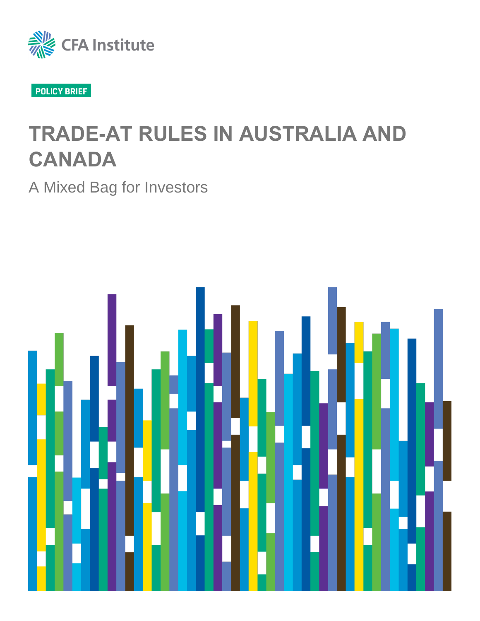

# **TRADE-AT RULES IN AUSTRALIA AND CANADA**

A Mixed Bag for Investors

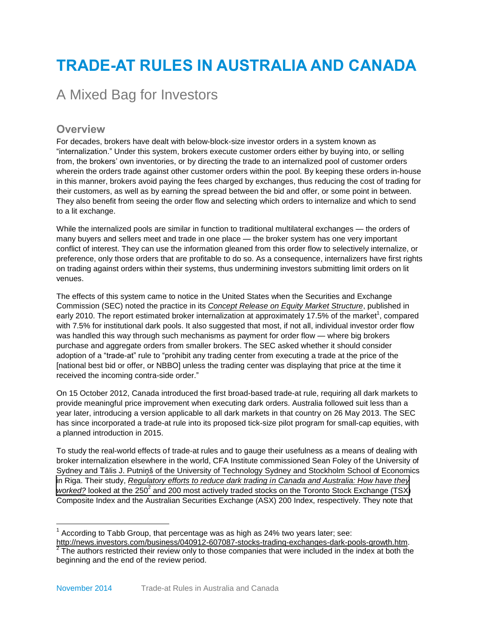# **TRADE-AT RULES IN AUSTRALIA AND CANADA**

# A Mixed Bag for Investors

## **Overview**

For decades, brokers have dealt with below-block-size investor orders in a system known as "internalization." Under this system, brokers execute customer orders either by buying into, or selling from, the brokers' own inventories, or by directing the trade to an internalized pool of customer orders wherein the orders trade against other customer orders within the pool. By keeping these orders in-house in this manner, brokers avoid paying the fees charged by exchanges, thus reducing the cost of trading for their customers, as well as by earning the spread between the bid and offer, or some point in between. They also benefit from seeing the order flow and selecting which orders to internalize and which to send to a lit exchange.

While the internalized pools are similar in function to traditional multilateral exchanges — the orders of many buyers and sellers meet and trade in one place — the broker system has one very important conflict of interest. They can use the information gleaned from this order flow to selectively internalize, or preference, only those orders that are profitable to do so. As a consequence, internalizers have first rights on trading against orders within their systems, thus undermining investors submitting limit orders on lit venues.

The effects of this system came to notice in the United States when the Securities and Exchange Commission (SEC) noted the practice in its *Concept Release on [Equity Market Structure](http://www.sec.gov/rules/concept/2010/34-61358.pdf)*, published in early 2010. The report estimated broker internalization at approximately 17.5% of the market<sup>1</sup>, compared with 7.5% for institutional dark pools. It also suggested that most, if not all, individual investor order flow was handled this way through such mechanisms as payment for order flow — where big brokers purchase and aggregate orders from smaller brokers. The SEC asked whether it should consider adoption of a "trade-at" rule to "prohibit any trading center from executing a trade at the price of the [national best bid or offer, or NBBO] unless the trading center was displaying that price at the time it received the incoming contra-side order."

On 15 October 2012, Canada introduced the first broad-based trade-at rule, requiring all dark markets to provide meaningful price improvement when executing dark orders. Australia followed suit less than a year later, introducing a version applicable to all dark markets in that country on 26 May 2013. The SEC has since incorporated a trade-at rule into its proposed tick-size pilot program for small-cap equities, with a planned introduction in 2015.

To study the real-world effects of trade-at rules and to gauge their usefulness as a means of dealing with broker internalization elsewhere in the world, CFA Institute commissioned Sean Foley of the University of Sydney and Tālis J. Putniņš of the University of Technology Sydney and Stockholm School of Economics in Riga. Their study, *[Regulatory efforts to reduce dark trading in Canada and Australia: How have the](https://www.cfainstitute.org/-/media/documents/support/advocacy/trade-at-rule-report.ashx)[y](http://www.cfainstitute.org/learning/products/publications/contributed/Pages/regulatory_efforts_to_reduce_dark_trading_in_canada_and_australia__how_have_they_worked_.aspx?PageName=searchresults&ResultsPage=1)* [worked?](http://www.cfainstitute.org/learning/products/publications/contributed/Pages/regulatory_efforts_to_reduce_dark_trading_in_canada_and_australia__how_have_they_worked_.aspx?PageName=searchresults&ResultsPage=1) looked at the 250<sup>2</sup> and 200 most actively traded stocks on the Toronto Stock Exchange (TSX) Composite Index and the Australian Securities Exchange (ASX) 200 Index, respectively. They note that

 $1$  According to Tabb Group, that percentage was as high as 24% two years later; see:

[http://news.investors.com/business/040912-607087-stocks-trading-exchanges-dark-pools-growth.htm.](http://news.investors.com/business/040912-607087-stocks-trading-exchanges-dark-pools-growth.htm)<br><sup>2</sup> The authors restricted their review only to those companies that were included in the index at both the beginning and the end of the review period.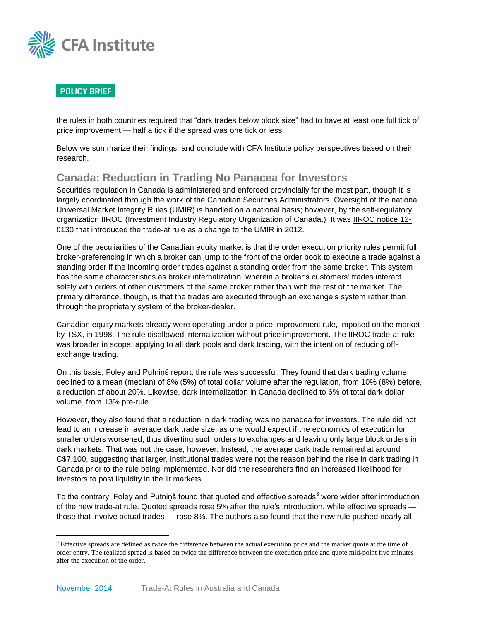

the rules in both countries required that "dark trades below block size" had to have at least one full tick of price improvement — half a tick if the spread was one tick or less.

Below we summarize their findings, and conclude with CFA Institute policy perspectives based on their research.

### **Canada: Reduction in Trading No Panacea for Investors**

Securities regulation in Canada is administered and enforced provincially for the most part, though it is largely coordinated through the work of the Canadian Securities Administrators. Oversight of the national Universal Market Integrity Rules (UMIR) is handled on a national basis; however, by the self-regulatory organization IIROC (Investment Industry Regulatory Organization of Canada.) It was **IIROC** notice 12-[0130](http://www.iiroc.ca/Documents/2012/77c0af22-004e-417d-9217-a160b3fcb5c5_en.pdf) that introduced the trade-at rule as a change to the UMIR in 2012.

One of the peculiarities of the Canadian equity market is that the order execution priority rules permit full broker-preferencing in which a broker can jump to the front of the order book to execute a trade against a standing order if the incoming order trades against a standing order from the same broker. This system has the same characteristics as broker internalization, wherein a broker's customers' trades interact solely with orders of other customers of the same broker rather than with the rest of the market. The primary difference, though, is that the trades are executed through an exchange's system rather than through the proprietary system of the broker-dealer.

Canadian equity markets already were operating under a price improvement rule, imposed on the market by TSX, in 1998. The rule disallowed internalization without price improvement. The IIROC trade-at rule was broader in scope, applying to all dark pools and dark trading, with the intention of reducing offexchange trading.

On this basis, Foley and Putniņš report, the rule was successful. They found that dark trading volume declined to a mean (median) of 8% (5%) of total dollar volume after the regulation, from 10% (8%) before, a reduction of about 20%. Likewise, dark internalization in Canada declined to 6% of total dark dollar volume, from 13% pre-rule.

However, they also found that a reduction in dark trading was no panacea for investors. The rule did not lead to an increase in average dark trade size, as one would expect if the economics of execution for smaller orders worsened, thus diverting such orders to exchanges and leaving only large block orders in dark markets. That was not the case, however. Instead, the average dark trade remained at around C\$7,100, suggesting that larger, institutional trades were not the reason behind the rise in dark trading in Canada prior to the rule being implemented. Nor did the researchers find an increased likelihood for investors to post liquidity in the lit markets.

To the contrary, Foley and Putniņš found that quoted and effective spreads $^3$  were wider after introduction of the new trade-at rule. Quoted spreads rose 5% after the rule's introduction, while effective spreads those that involve actual trades — rose 8%. The authors also found that the new rule pushed nearly all

 $3$  Effective spreads are defined as twice the difference between the actual execution price and the market quote at the time of order entry. The realized spread is based on twice the difference between the execution price and quote mid-point five minutes after the execution of the order.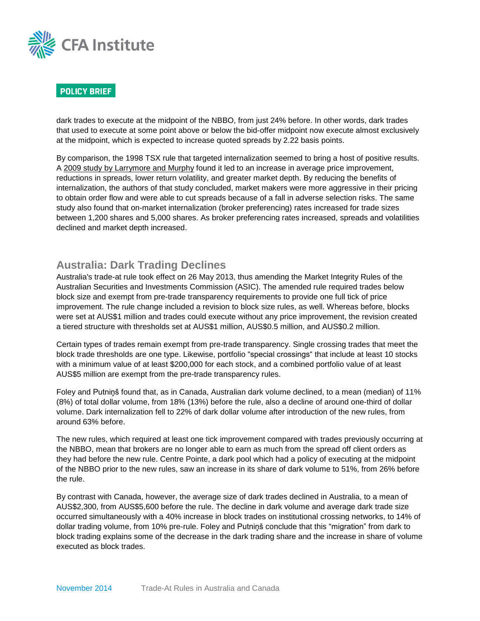

dark trades to execute at the midpoint of the NBBO, from just 24% before. In other words, dark trades that used to execute at some point above or below the bid-offer midpoint now execute almost exclusively at the midpoint, which is expected to increase quoted spreads by 2.22 basis points.

By comparison, the 1998 TSX rule that targeted internalization seemed to bring a host of positive results. A [2009 study by Larrymore and Murphy](http://onlinelibrary.wiley.com/doi/10.1111/j.1475-6803.2009.01253.x/abstract) found it led to an increase in average price improvement, reductions in spreads, lower return volatility, and greater market depth. By reducing the benefits of internalization, the authors of that study concluded, market makers were more aggressive in their pricing to obtain order flow and were able to cut spreads because of a fall in adverse selection risks. The same study also found that on-market internalization (broker preferencing) rates increased for trade sizes between 1,200 shares and 5,000 shares. As broker preferencing rates increased, spreads and volatilities declined and market depth increased.

# **Australia: Dark Trading Declines**

Australia's trade-at rule took effect on 26 May 2013, thus amending the Market Integrity Rules of the Australian Securities and Investments Commission (ASIC). The amended rule required trades below block size and exempt from pre-trade transparency requirements to provide one full tick of price improvement. The rule change included a revision to block size rules, as well. Whereas before, blocks were set at AUS\$1 million and trades could execute without any price improvement, the revision created a tiered structure with thresholds set at AUS\$1 million, AUS\$0.5 million, and AUS\$0.2 million.

Certain types of trades remain exempt from pre-trade transparency. Single crossing trades that meet the block trade thresholds are one type. Likewise, portfolio "special crossings" that include at least 10 stocks with a minimum value of at least \$200,000 for each stock, and a combined portfolio value of at least AUS\$5 million are exempt from the pre-trade transparency rules.

Foley and Putniņš found that, as in Canada, Australian dark volume declined, to a mean (median) of 11% (8%) of total dollar volume, from 18% (13%) before the rule, also a decline of around one-third of dollar volume. Dark internalization fell to 22% of dark dollar volume after introduction of the new rules, from around 63% before.

The new rules, which required at least one tick improvement compared with trades previously occurring at the NBBO, mean that brokers are no longer able to earn as much from the spread off client orders as they had before the new rule. Centre Pointe, a dark pool which had a policy of executing at the midpoint of the NBBO prior to the new rules, saw an increase in its share of dark volume to 51%, from 26% before the rule.

By contrast with Canada, however, the average size of dark trades declined in Australia, to a mean of AUS\$2,300, from AUS\$5,600 before the rule. The decline in dark volume and average dark trade size occurred simultaneously with a 40% increase in block trades on institutional crossing networks, to 14% of dollar trading volume, from 10% pre-rule. Foley and Putniņš conclude that this "migration" from dark to block trading explains some of the decrease in the dark trading share and the increase in share of volume executed as block trades.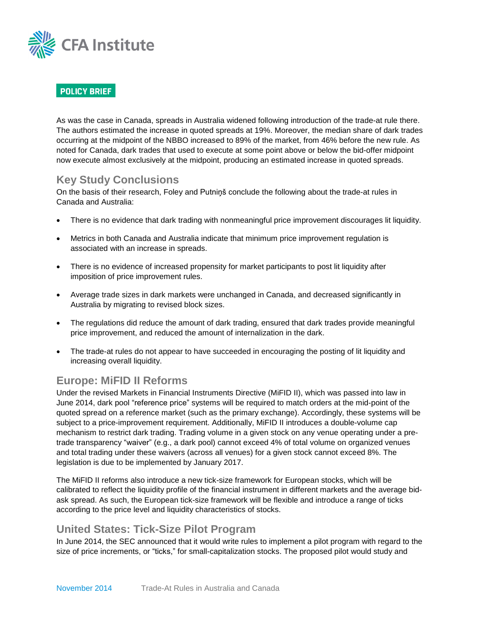

As was the case in Canada, spreads in Australia widened following introduction of the trade-at rule there. The authors estimated the increase in quoted spreads at 19%. Moreover, the median share of dark trades occurring at the midpoint of the NBBO increased to 89% of the market, from 46% before the new rule. As noted for Canada, dark trades that used to execute at some point above or below the bid-offer midpoint now execute almost exclusively at the midpoint, producing an estimated increase in quoted spreads.

### **Key Study Conclusions**

On the basis of their research, Foley and Putniņš conclude the following about the trade-at rules in Canada and Australia:

- There is no evidence that dark trading with nonmeaningful price improvement discourages lit liquidity.
- Metrics in both Canada and Australia indicate that minimum price improvement regulation is associated with an increase in spreads.
- There is no evidence of increased propensity for market participants to post lit liquidity after imposition of price improvement rules.
- Average trade sizes in dark markets were unchanged in Canada, and decreased significantly in Australia by migrating to revised block sizes.
- The regulations did reduce the amount of dark trading, ensured that dark trades provide meaningful price improvement, and reduced the amount of internalization in the dark.
- The trade-at rules do not appear to have succeeded in encouraging the posting of lit liquidity and increasing overall liquidity.

# **Europe: MiFID II Reforms**

Under the revised Markets in Financial Instruments Directive (MiFID II), which was passed into law in June 2014, dark pool "reference price" systems will be required to match orders at the mid-point of the quoted spread on a reference market (such as the primary exchange). Accordingly, these systems will be subject to a price-improvement requirement. Additionally, MiFID II introduces a double-volume cap mechanism to restrict dark trading. Trading volume in a given stock on any venue operating under a pretrade transparency "waiver" (e.g., a dark pool) cannot exceed 4% of total volume on organized venues and total trading under these waivers (across all venues) for a given stock cannot exceed 8%. The legislation is due to be implemented by January 2017.

The MiFID II reforms also introduce a new tick-size framework for European stocks, which will be calibrated to reflect the liquidity profile of the financial instrument in different markets and the average bidask spread. As such, the European tick-size framework will be flexible and introduce a range of ticks according to the price level and liquidity characteristics of stocks.

#### **United States: Tick-Size Pilot Program**

In June 2014, the SEC announced that it would write rules to implement a pilot program with regard to the size of price increments, or "ticks," for small-capitalization stocks. The proposed pilot would study and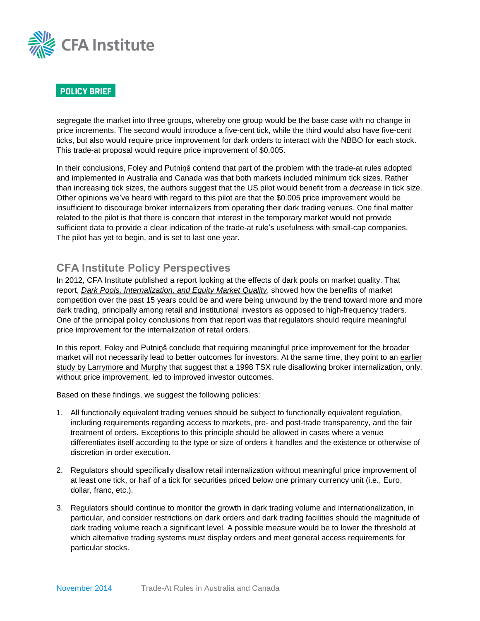

segregate the market into three groups, whereby one group would be the base case with no change in price increments. The second would introduce a five-cent tick, while the third would also have five-cent ticks, but also would require price improvement for dark orders to interact with the NBBO for each stock. This trade-at proposal would require price improvement of \$0.005.

In their conclusions, Foley and Putniņš contend that part of the problem with the trade-at rules adopted and implemented in Australia and Canada was that both markets included minimum tick sizes. Rather than increasing tick sizes, the authors suggest that the US pilot would benefit from a *decrease* in tick size. Other opinions we've heard with regard to this pilot are that the \$0.005 price improvement would be insufficient to discourage broker internalizers from operating their dark trading venues. One final matter related to the pilot is that there is concern that interest in the temporary market would not provide sufficient data to provide a clear indication of the trade-at rule's usefulness with small-cap companies. The pilot has yet to begin, and is set to last one year.

# **CFA Institute Policy Perspectives**

In 2012, CFA Institute published a report looking at the effects of dark pools on market quality. That report, *[Dark Pools, Internalization, and Equity Market Quality](https://www.cfainstitute.org/-/media/documents/article/position-paper/dark-pools-internalization-equity-market-quality.ashx)*, showed how the benefits of market competition over the past 15 years could be and were being unwound by the trend toward more and more dark trading, principally among retail and institutional investors as opposed to high-frequency traders. One of the principal policy conclusions from that report was that regulators should require meaningful price improvement for the internalization of retail orders.

In this report, Foley and Putniņš conclude that requiring meaningful price improvement for the broader market will not necessarily lead to better outcomes for investors. At the same time, they point to an [earlier](http://onlinelibrary.wiley.com/doi/10.1111/j.1475-6803.2009.01253.x/abstract)  [study by Larrymore and Murphy](http://onlinelibrary.wiley.com/doi/10.1111/j.1475-6803.2009.01253.x/abstract) that suggest that a 1998 TSX rule disallowing broker internalization, only, without price improvement, led to improved investor outcomes.

Based on these findings, we suggest the following policies:

- 1. All functionally equivalent trading venues should be subject to functionally equivalent regulation, including requirements regarding access to markets, pre- and post-trade transparency, and the fair treatment of orders. Exceptions to this principle should be allowed in cases where a venue differentiates itself according to the type or size of orders it handles and the existence or otherwise of discretion in order execution.
- 2. Regulators should specifically disallow retail internalization without meaningful price improvement of at least one tick, or half of a tick for securities priced below one primary currency unit (i.e., Euro, dollar, franc, etc.).
- 3. Regulators should continue to monitor the growth in dark trading volume and internationalization, in particular, and consider restrictions on dark orders and dark trading facilities should the magnitude of dark trading volume reach a significant level. A possible measure would be to lower the threshold at which alternative trading systems must display orders and meet general access requirements for particular stocks.